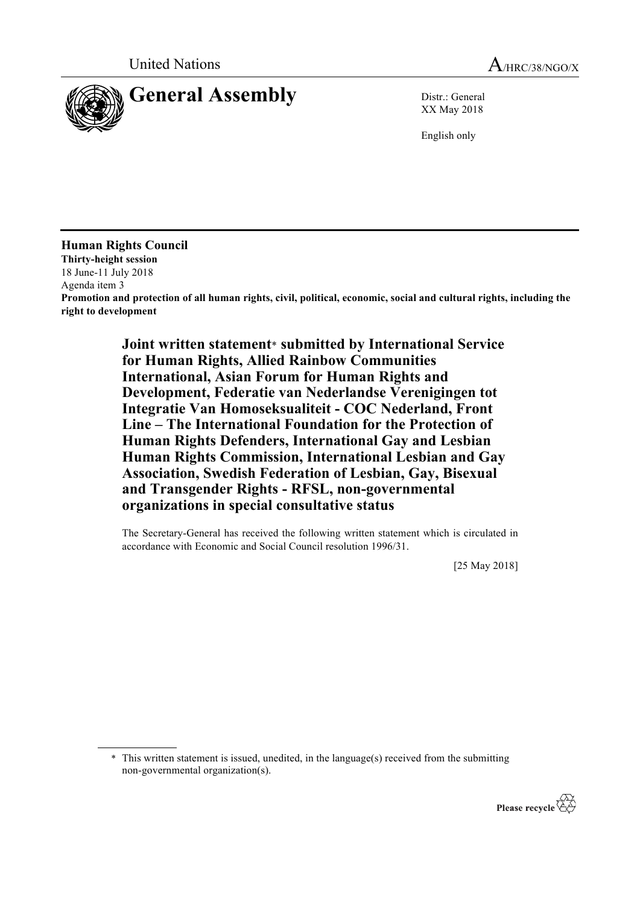

XX May 2018

English only

**Human Rights Council Thirty-height session** 18 June-11 July 2018 Agenda item 3 **Promotion and protection of all human rights, civil, political, economic, social and cultural rights, including the right to development**

> **Joint written statement**\* **submitted by International Service for Human Rights, Allied Rainbow Communities International, Asian Forum for Human Rights and Development, Federatie van Nederlandse Verenigingen tot Integratie Van Homoseksualiteit - COC Nederland, Front Line – The International Foundation for the Protection of Human Rights Defenders, International Gay and Lesbian Human Rights Commission, International Lesbian and Gay Association, Swedish Federation of Lesbian, Gay, Bisexual and Transgender Rights - RFSL, non-governmental organizations in special consultative status**

The Secretary-General has received the following written statement which is circulated in accordance with Economic and Social Council resolution 1996/31.

[25 May 2018]

\* This written statement is issued, unedited, in the language(s) received from the submitting non-governmental organization(s).

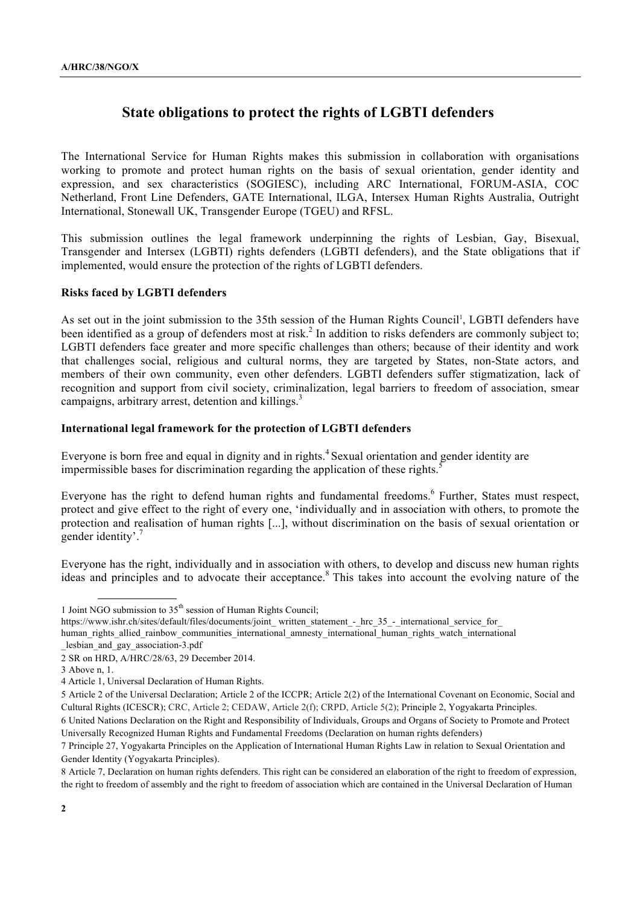# **State obligations to protect the rights of LGBTI defenders**

The International Service for Human Rights makes this submission in collaboration with organisations working to promote and protect human rights on the basis of sexual orientation, gender identity and expression, and sex characteristics (SOGIESC), including ARC International, FORUM-ASIA, COC Netherland, Front Line Defenders, GATE International, ILGA, Intersex Human Rights Australia, Outright International, Stonewall UK, Transgender Europe (TGEU) and RFSL.

This submission outlines the legal framework underpinning the rights of Lesbian, Gay, Bisexual, Transgender and Intersex (LGBTI) rights defenders (LGBTI defenders), and the State obligations that if implemented, would ensure the protection of the rights of LGBTI defenders.

# **Risks faced by LGBTI defenders**

As set out in the joint submission to the 35th session of the Human Rights Council<sup>1</sup>, LGBTI defenders have been identified as a group of defenders most at risk.<sup>2</sup> In addition to risks defenders are commonly subject to; LGBTI defenders face greater and more specific challenges than others; because of their identity and work that challenges social, religious and cultural norms, they are targeted by States, non-State actors, and members of their own community, even other defenders. LGBTI defenders suffer stigmatization, lack of recognition and support from civil society, criminalization, legal barriers to freedom of association, smear campaigns, arbitrary arrest, detention and killings.<sup>3</sup>

## **International legal framework for the protection of LGBTI defenders**

Everyone is born free and equal in dignity and in rights.<sup>4</sup> Sexual orientation and gender identity are impermissible bases for discrimination regarding the application of these rights.<sup>5</sup> I.

Everyone has the right to defend human rights and fundamental freedoms.<sup>6</sup> Further, States must respect, protect and give effect to the right of every one, 'individually and in association with others, to promote the protection and realisation of human rights [...], without discrimination on the basis of sexual orientation or gender identity'.<sup>7</sup>

Everyone has the right, individually and in association with others, to develop and discuss new human rights ideas and principles and to advocate their acceptance.<sup>8</sup> This takes into account the evolving nature of the

https://www.ishr.ch/sites/default/files/documents/joint\_ written\_statement\_-\_hrc\_35\_-\_international\_service\_for human rights allied rainbow communities international amnesty international human rights watch international

<sup>1</sup> Joint NGO submission to 35th session of Human Rights Council;

lesbian and gay association-3.pdf

<sup>2</sup> SR on HRD, A/HRC/28/63, 29 December 2014.

<sup>3</sup> Above n, 1.

<sup>4</sup> Article 1, Universal Declaration of Human Rights.

<sup>5</sup> Article 2 of the Universal Declaration; Article 2 of the ICCPR; Article 2(2) of the International Covenant on Economic, Social and Cultural Rights (ICESCR); CRC, Article 2; CEDAW, Article 2(f); CRPD, Article 5(2); Principle 2, Yogyakarta Principles.

<sup>6</sup> United Nations Declaration on the Right and Responsibility of Individuals, Groups and Organs of Society to Promote and Protect Universally Recognized Human Rights and Fundamental Freedoms (Declaration on human rights defenders)

<sup>7</sup> Principle 27, Yogyakarta Principles on the Application of International Human Rights Law in relation to Sexual Orientation and Gender Identity (Yogyakarta Principles).

<sup>8</sup> Article 7, Declaration on human rights defenders. This right can be considered an elaboration of the right to freedom of expression, the right to freedom of assembly and the right to freedom of association which are contained in the Universal Declaration of Human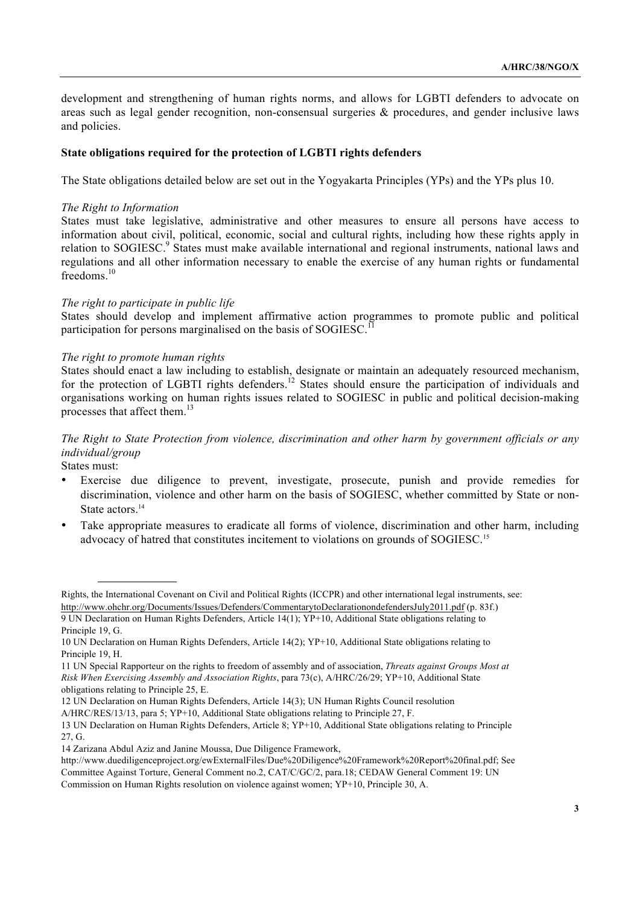development and strengthening of human rights norms, and allows for LGBTI defenders to advocate on areas such as legal gender recognition, non-consensual surgeries & procedures, and gender inclusive laws and policies.

#### **State obligations required for the protection of LGBTI rights defenders**

The State obligations detailed below are set out in the Yogyakarta Principles (YPs) and the YPs plus 10.

#### *The Right to Information*

States must take legislative, administrative and other measures to ensure all persons have access to information about civil, political, economic, social and cultural rights, including how these rights apply in relation to SOGIESC.<sup>9</sup> States must make available international and regional instruments, national laws and regulations and all other information necessary to enable the exercise of any human rights or fundamental freedoms. $10$ 

#### *The right to participate in public life*

States should develop and implement affirmative action programmes to promote public and political participation for persons marginalised on the basis of SOGIESC.<sup>11</sup>

#### *The right to promote human rights*

States should enact a law including to establish, designate or maintain an adequately resourced mechanism, for the protection of LGBTI rights defenders.<sup>12</sup> States should ensure the participation of individuals and organisations working on human rights issues related to SOGIESC in public and political decision-making processes that affect them  $^{13}$ 

*The Right to State Protection from violence, discrimination and other harm by government officials or any individual/group*

States must:

- Exercise due diligence to prevent, investigate, prosecute, punish and provide remedies for discrimination, violence and other harm on the basis of SOGIESC, whether committed by State or non-State actors.<sup>14</sup>
- Take appropriate measures to eradicate all forms of violence, discrimination and other harm, including advocacy of hatred that constitutes incitement to violations on grounds of SOGIESC.15

Rights, the International Covenant on Civil and Political Rights (ICCPR) and other international legal instruments, see: http://www.ohchr.org/Documents/Issues/Defenders/CommentarytoDeclarationondefendersJuly2011.pdf (p. 83f.)

<sup>9</sup> UN Declaration on Human Rights Defenders, Article 14(1); YP+10, Additional State obligations relating to Principle 19, G.

<sup>10</sup> UN Declaration on Human Rights Defenders, Article 14(2); YP+10, Additional State obligations relating to Principle 19, H.

<sup>11</sup> UN Special Rapporteur on the rights to freedom of assembly and of association, *Threats against Groups Most at Risk When Exercising Assembly and Association Rights*, para 73(c), A/HRC/26/29; YP+10, Additional State obligations relating to Principle 25, E.

<sup>12</sup> UN Declaration on Human Rights Defenders, Article 14(3); UN Human Rights Council resolution

A/HRC/RES/13/13, para 5; YP+10, Additional State obligations relating to Principle 27, F.

<sup>13</sup> UN Declaration on Human Rights Defenders, Article 8; YP+10, Additional State obligations relating to Principle 27 G.

<sup>14</sup> Zarizana Abdul Aziz and Janine Moussa, Due Diligence Framework,

http://www.duediligenceproject.org/ewExternalFiles/Due%20Diligence%20Framework%20Report%20final.pdf; See Committee Against Torture, General Comment no.2, CAT/C/GC/2, para.18; CEDAW General Comment 19: UN Commission on Human Rights resolution on violence against women; YP+10, Principle 30, A.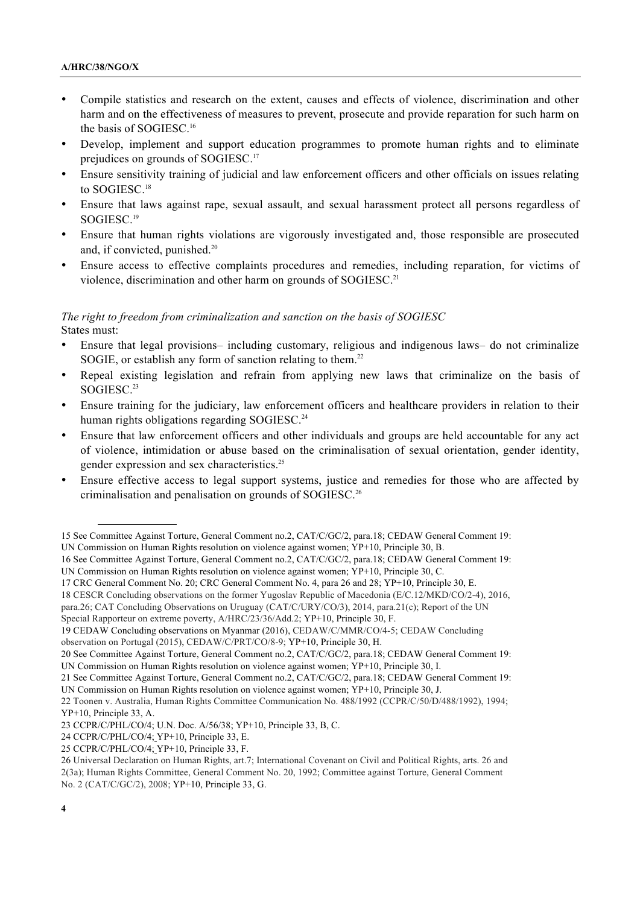- Compile statistics and research on the extent, causes and effects of violence, discrimination and other harm and on the effectiveness of measures to prevent, prosecute and provide reparation for such harm on the basis of SOGIESC.16
- Develop, implement and support education programmes to promote human rights and to eliminate prejudices on grounds of SOGIESC.17
- Ensure sensitivity training of judicial and law enforcement officers and other officials on issues relating to SOGIESC.<sup>18</sup>
- Ensure that laws against rape, sexual assault, and sexual harassment protect all persons regardless of SOGIESC.19
- Ensure that human rights violations are vigorously investigated and, those responsible are prosecuted and, if convicted, punished.<sup>20</sup>
- Ensure access to effective complaints procedures and remedies, including reparation, for victims of violence, discrimination and other harm on grounds of SOGIESC.<sup>21</sup>

# *The right to freedom from criminalization and sanction on the basis of SOGIESC* States must:

- Ensure that legal provisions– including customary, religious and indigenous laws– do not criminalize SOGIE, or establish any form of sanction relating to them.<sup>22</sup>
- Repeal existing legislation and refrain from applying new laws that criminalize on the basis of SOGIESC.<sup>23</sup>
- Ensure training for the judiciary, law enforcement officers and healthcare providers in relation to their human rights obligations regarding SOGIESC.<sup>24</sup>
- Ensure that law enforcement officers and other individuals and groups are held accountable for any act of violence, intimidation or abuse based on the criminalisation of sexual orientation, gender identity, gender expression and sex characteristics.25
- Ensure effective access to legal support systems, justice and remedies for those who are affected by criminalisation and penalisation on grounds of SOGIESC.26

<sup>15</sup> See Committee Against Torture, General Comment no.2, CAT/C/GC/2, para.18; CEDAW General Comment 19: UN Commission on Human Rights resolution on violence against women; YP+10, Principle 30, B.

<sup>16</sup> See Committee Against Torture, General Comment no.2, CAT/C/GC/2, para.18; CEDAW General Comment 19: UN Commission on Human Rights resolution on violence against women; YP+10, Principle 30, C.

<sup>17</sup> CRC General Comment No. 20; CRC General Comment No. 4, para 26 and 28; YP+10, Principle 30, E.

<sup>18</sup> CESCR Concluding observations on the former Yugoslav Republic of Macedonia (E/C.12/MKD/CO/2-4), 2016,

para.26; CAT Concluding Observations on Uruguay (CAT/C/URY/CO/3), 2014, para.21(c); Report of the UN

Special Rapporteur on extreme poverty, A/HRC/23/36/Add.2; YP+10, Principle 30, F.

<sup>19</sup> CEDAW Concluding observations on Myanmar (2016), CEDAW/C/MMR/CO/4-5; CEDAW Concluding observation on Portugal (2015), CEDAW/C/PRT/CO/8-9; YP+10, Principle 30, H.

<sup>20</sup> See Committee Against Torture, General Comment no.2, CAT/C/GC/2, para.18; CEDAW General Comment 19: UN Commission on Human Rights resolution on violence against women; YP+10, Principle 30, I.

<sup>21</sup> See Committee Against Torture, General Comment no.2, CAT/C/GC/2, para.18; CEDAW General Comment 19:

UN Commission on Human Rights resolution on violence against women; YP+10, Principle 30, J.

<sup>22</sup> Toonen v. Australia, Human Rights Committee Communication No. 488/1992 (CCPR/C/50/D/488/1992), 1994; YP+10, Principle 33, A.

<sup>23</sup> CCPR/C/PHL/CO/4; U.N. Doc. A/56/38; YP+10, Principle 33, B, C.

<sup>24</sup> CCPR/C/PHL/CO/4; YP+10, Principle 33, E.

<sup>25</sup> CCPR/C/PHL/CO/4; YP+10, Principle 33, F.

<sup>26</sup> Universal Declaration on Human Rights, art.7; International Covenant on Civil and Political Rights, arts. 26 and 2(3a); Human Rights Committee, General Comment No. 20, 1992; Committee against Torture, General Comment No. 2 (CAT/C/GC/2), 2008; YP+10, Principle 33, G.